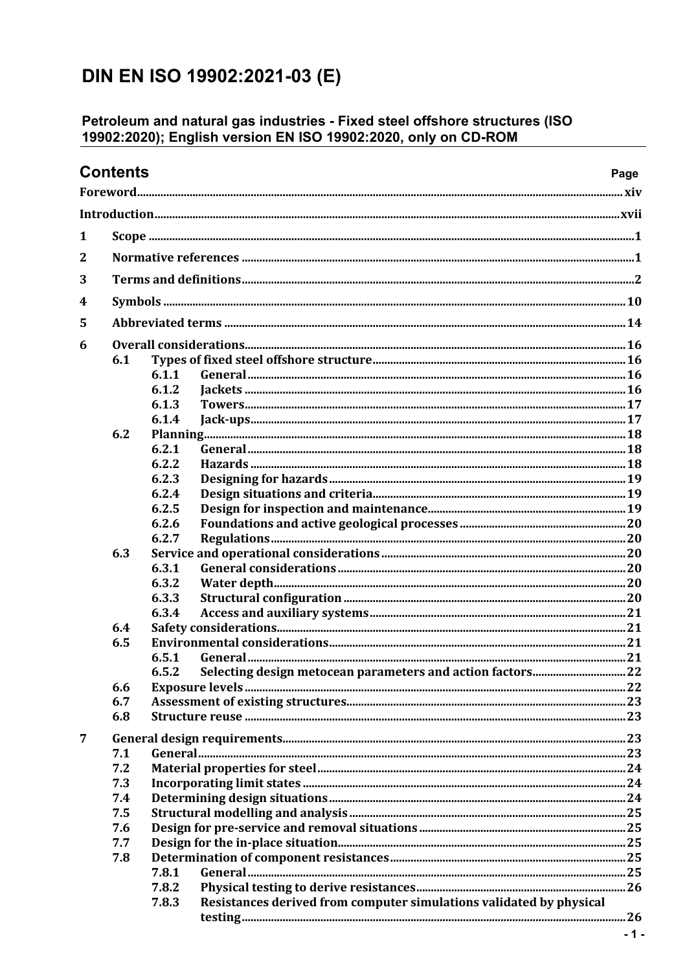## DIN EN ISO 19902:2021-03 (E)

## Petroleum and natural gas industries - Fixed steel offshore structures (ISO<br>19902:2020); English version EN ISO 19902:2020, only on CD-ROM

| <b>Contents</b><br>Page |     |                                                                              |  |  |
|-------------------------|-----|------------------------------------------------------------------------------|--|--|
|                         |     |                                                                              |  |  |
|                         |     |                                                                              |  |  |
| 1                       |     |                                                                              |  |  |
| $\mathbf{2}$            |     |                                                                              |  |  |
| 3                       |     |                                                                              |  |  |
|                         |     |                                                                              |  |  |
| 4                       |     |                                                                              |  |  |
| 5                       |     |                                                                              |  |  |
| 6                       |     |                                                                              |  |  |
|                         | 6.1 |                                                                              |  |  |
|                         |     | 6.1.1                                                                        |  |  |
|                         |     | 6.1.2                                                                        |  |  |
|                         |     | 6.1.3                                                                        |  |  |
|                         |     | 6.1.4                                                                        |  |  |
|                         | 6.2 |                                                                              |  |  |
|                         |     | 6.2.1                                                                        |  |  |
|                         |     | 6.2.2                                                                        |  |  |
|                         |     | 6.2.3                                                                        |  |  |
|                         |     | 6.2.4                                                                        |  |  |
|                         |     | 6.2.5                                                                        |  |  |
|                         |     | 6.2.6                                                                        |  |  |
|                         |     | 6.2.7                                                                        |  |  |
|                         | 6.3 |                                                                              |  |  |
|                         |     | 6.3.1                                                                        |  |  |
|                         |     | 6.3.2                                                                        |  |  |
|                         |     | 6.3.3                                                                        |  |  |
|                         |     | 6.3.4                                                                        |  |  |
|                         | 6.4 |                                                                              |  |  |
|                         | 6.5 |                                                                              |  |  |
|                         |     | 6.5.1                                                                        |  |  |
|                         |     | 6.5.2                                                                        |  |  |
|                         | 6.6 |                                                                              |  |  |
|                         | 6.7 |                                                                              |  |  |
|                         | 6.8 |                                                                              |  |  |
| 7                       |     |                                                                              |  |  |
|                         | 7.1 |                                                                              |  |  |
|                         | 7.2 |                                                                              |  |  |
|                         | 7.3 |                                                                              |  |  |
|                         | 7.4 |                                                                              |  |  |
|                         | 7.5 |                                                                              |  |  |
|                         | 7.6 |                                                                              |  |  |
|                         | 7.7 |                                                                              |  |  |
|                         | 7.8 |                                                                              |  |  |
|                         |     | 7.8.1                                                                        |  |  |
|                         |     | 7.8.2                                                                        |  |  |
|                         |     | Resistances derived from computer simulations validated by physical<br>7.8.3 |  |  |
|                         |     |                                                                              |  |  |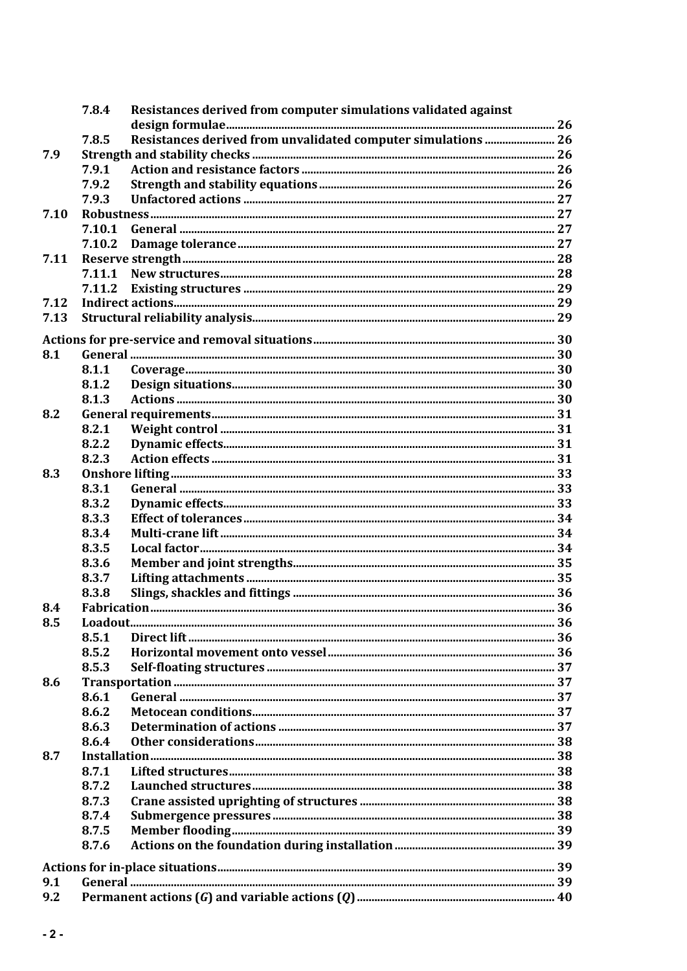|      | 7.8.4  | Resistances derived from computer simulations validated against |  |
|------|--------|-----------------------------------------------------------------|--|
|      | 7.8.5  |                                                                 |  |
|      |        |                                                                 |  |
| 7.9  |        |                                                                 |  |
|      | 7.9.1  |                                                                 |  |
|      | 7.9.2  |                                                                 |  |
|      | 7.9.3  |                                                                 |  |
| 7.10 |        |                                                                 |  |
|      | 7.10.1 |                                                                 |  |
|      | 7.10.2 |                                                                 |  |
| 7.11 |        |                                                                 |  |
|      | 7.11.1 |                                                                 |  |
|      | 7.11.2 |                                                                 |  |
| 7.12 |        |                                                                 |  |
| 7.13 |        |                                                                 |  |
|      |        |                                                                 |  |
| 8.1  |        |                                                                 |  |
|      | 8.1.1  |                                                                 |  |
|      | 8.1.2  |                                                                 |  |
|      | 8.1.3  |                                                                 |  |
| 8.2  |        |                                                                 |  |
|      | 8.2.1  |                                                                 |  |
|      | 8.2.2  |                                                                 |  |
|      | 8.2.3  |                                                                 |  |
| 8.3  |        |                                                                 |  |
|      | 8.3.1  |                                                                 |  |
|      | 8.3.2  |                                                                 |  |
|      | 8.3.3  |                                                                 |  |
|      | 8.3.4  |                                                                 |  |
|      | 8.3.5  |                                                                 |  |
|      | 8.3.6  |                                                                 |  |
|      | 8.3.7  |                                                                 |  |
|      | 8.3.8  |                                                                 |  |
| 8.4  |        |                                                                 |  |
| 8.5  |        |                                                                 |  |
|      | 8.5.1  |                                                                 |  |
|      | 8.5.2  |                                                                 |  |
|      | 8.5.3  |                                                                 |  |
| 8.6  |        |                                                                 |  |
|      | 8.6.1  |                                                                 |  |
|      | 8.6.2  |                                                                 |  |
|      | 8.6.3  |                                                                 |  |
|      | 8.6.4  |                                                                 |  |
| 8.7  |        |                                                                 |  |
|      | 8.7.1  |                                                                 |  |
|      | 8.7.2  |                                                                 |  |
|      | 8.7.3  |                                                                 |  |
|      | 8.7.4  |                                                                 |  |
|      | 8.7.5  |                                                                 |  |
|      | 8.7.6  |                                                                 |  |
|      |        |                                                                 |  |
|      |        |                                                                 |  |
| 9.1  |        |                                                                 |  |
| 9.2  |        |                                                                 |  |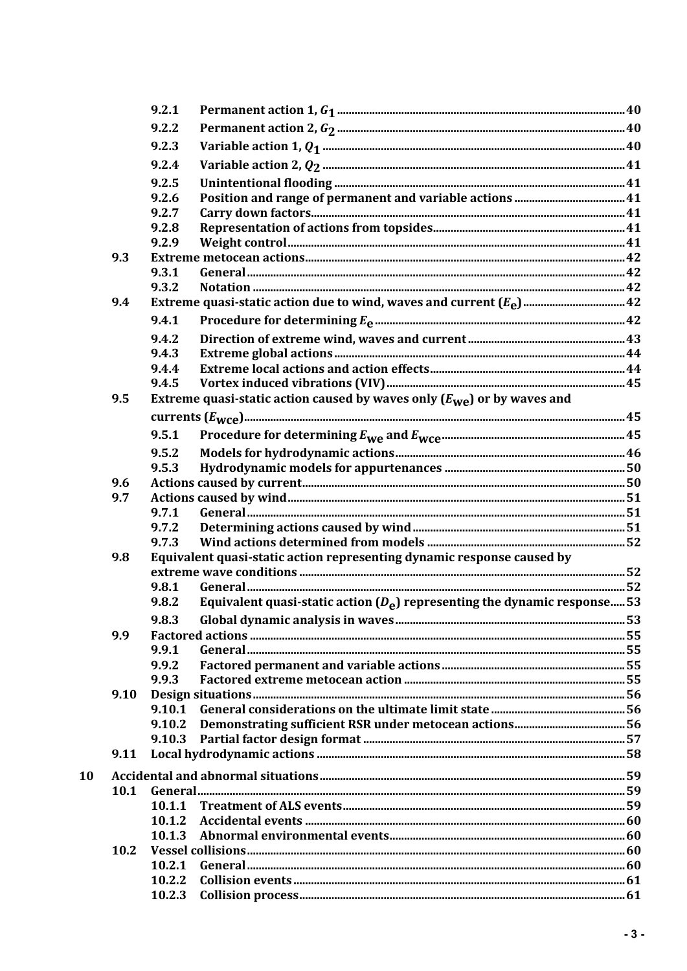|    |      | 9.2.1  |                                                                                    |  |
|----|------|--------|------------------------------------------------------------------------------------|--|
|    |      | 9.2.2  |                                                                                    |  |
|    |      | 9.2.3  |                                                                                    |  |
|    |      | 9.2.4  |                                                                                    |  |
|    |      | 9.2.5  |                                                                                    |  |
|    |      | 9.2.6  |                                                                                    |  |
|    |      | 9.2.7  |                                                                                    |  |
|    |      | 9.2.8  |                                                                                    |  |
|    |      | 9.2.9  |                                                                                    |  |
|    | 9.3  |        |                                                                                    |  |
|    |      | 9.3.1  |                                                                                    |  |
|    |      | 9.3.2  |                                                                                    |  |
|    | 9.4  |        |                                                                                    |  |
|    |      | 9.4.1  |                                                                                    |  |
|    |      | 9.4.2  |                                                                                    |  |
|    |      | 9.4.3  |                                                                                    |  |
|    |      | 9.4.4  |                                                                                    |  |
|    |      | 9.4.5  |                                                                                    |  |
|    | 9.5  |        | Extreme quasi-static action caused by waves only $(E_{\text{we}})$ or by waves and |  |
|    |      |        |                                                                                    |  |
|    |      | 9.5.1  |                                                                                    |  |
|    |      | 9.5.2  |                                                                                    |  |
|    |      | 9.5.3  |                                                                                    |  |
|    | 9.6  |        |                                                                                    |  |
|    | 9.7  |        |                                                                                    |  |
|    |      | 9.7.1  |                                                                                    |  |
|    |      | 9.7.2  |                                                                                    |  |
|    |      | 9.7.3  |                                                                                    |  |
|    | 9.8  |        | Equivalent quasi-static action representing dynamic response caused by             |  |
|    |      |        |                                                                                    |  |
|    |      | 9.8.1  |                                                                                    |  |
|    |      | 9.8.2  | Equivalent quasi-static action $(D_{\rho})$ representing the dynamic response 53   |  |
|    |      | 9.8.3  |                                                                                    |  |
|    | 9.9  |        |                                                                                    |  |
|    |      | 9.9.1  |                                                                                    |  |
|    |      | 9.9.2  |                                                                                    |  |
|    |      | 9.9.3  |                                                                                    |  |
|    | 9.10 | 9.10.1 |                                                                                    |  |
|    |      | 9.10.2 |                                                                                    |  |
|    |      | 9.10.3 |                                                                                    |  |
|    | 9.11 |        |                                                                                    |  |
| 10 |      |        |                                                                                    |  |
|    | 10.1 |        |                                                                                    |  |
|    |      | 10.1.1 |                                                                                    |  |
|    |      | 10.1.2 |                                                                                    |  |
|    |      |        |                                                                                    |  |
|    | 10.2 |        |                                                                                    |  |
|    |      | 10.2.1 |                                                                                    |  |
|    |      | 10.2.2 |                                                                                    |  |
|    |      | 10.2.3 |                                                                                    |  |
|    |      |        |                                                                                    |  |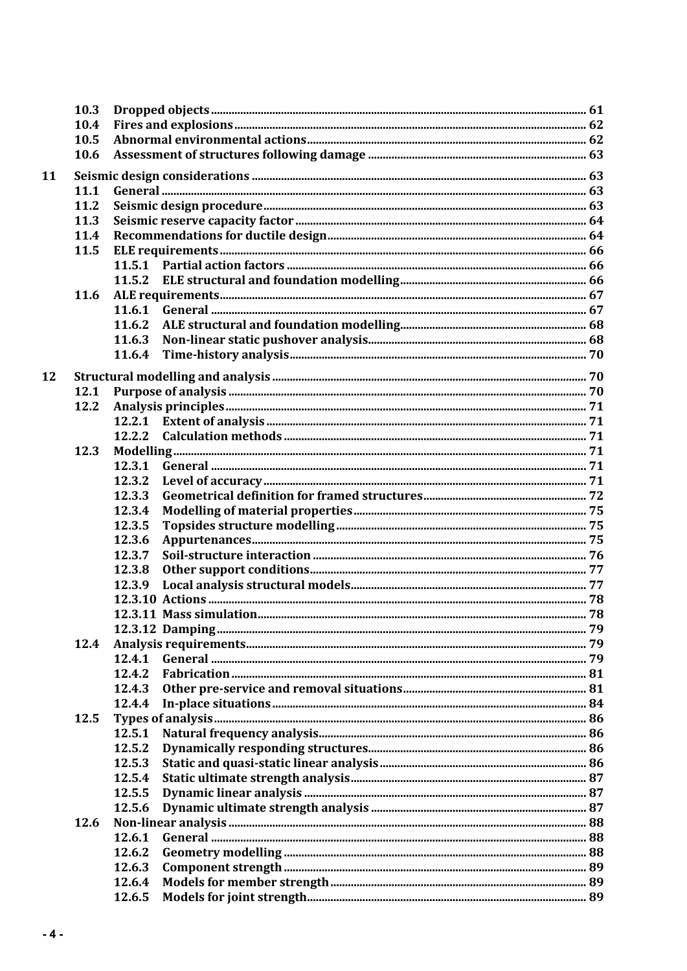|    | 10.3 |        |  |
|----|------|--------|--|
|    | 10.4 |        |  |
|    | 10.5 |        |  |
|    | 10.6 |        |  |
| 11 |      |        |  |
|    | 11.1 |        |  |
|    | 11.2 |        |  |
|    | 11.3 |        |  |
|    | 11.4 |        |  |
|    | 11.5 |        |  |
|    |      |        |  |
|    |      |        |  |
|    | 11.6 |        |  |
|    |      |        |  |
|    |      | 11.6.2 |  |
|    |      | 11.6.3 |  |
|    |      | 11.6.4 |  |
|    |      |        |  |
| 12 |      |        |  |
|    | 12.1 |        |  |
|    | 12.2 |        |  |
|    |      |        |  |
|    |      | 12.2.2 |  |
|    | 12.3 |        |  |
|    |      | 12.3.1 |  |
|    |      | 12.3.2 |  |
|    |      | 12.3.3 |  |
|    |      | 12.3.4 |  |
|    |      | 12.3.5 |  |
|    |      | 12.3.6 |  |
|    |      | 12.3.7 |  |
|    |      | 12.3.8 |  |
|    |      | 12.3.9 |  |
|    |      |        |  |
|    |      |        |  |
|    |      |        |  |
|    | 12.4 |        |  |
|    |      | 12.4.1 |  |
|    |      | 12.4.2 |  |
|    |      | 12.4.3 |  |
|    |      | 12.4.4 |  |
|    | 12.5 |        |  |
|    |      | 12.5.1 |  |
|    |      | 12.5.2 |  |
|    |      | 12.5.3 |  |
|    |      | 12.5.4 |  |
|    |      | 12.5.5 |  |
|    |      | 12.5.6 |  |
|    | 12.6 |        |  |
|    |      | 12.6.1 |  |
|    |      | 12.6.2 |  |
|    |      | 12.6.3 |  |
|    |      | 12.6.4 |  |
|    |      | 12.6.5 |  |
|    |      |        |  |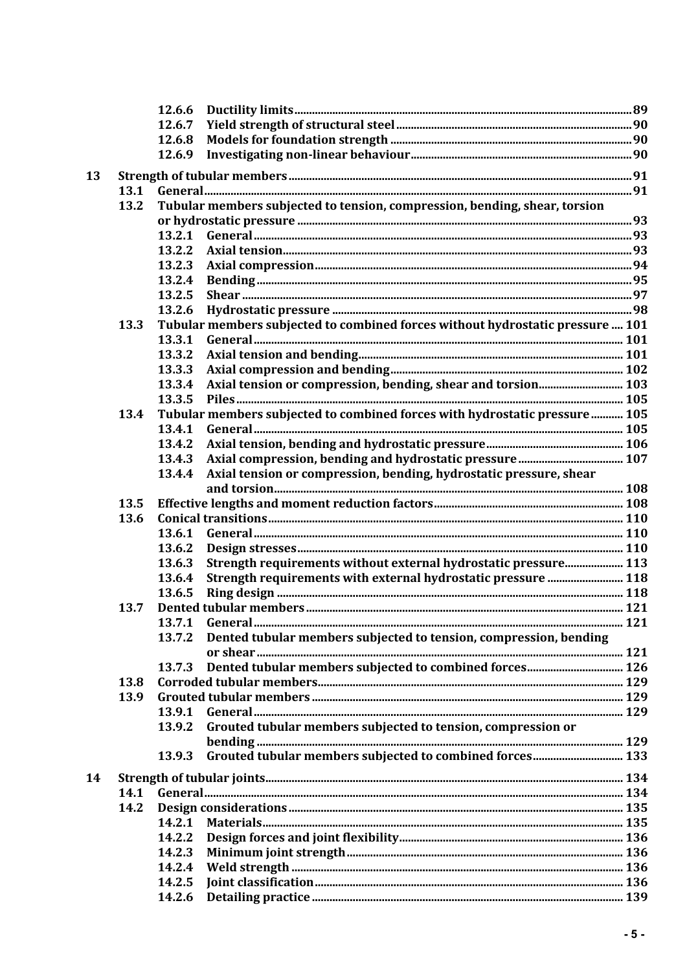|    |      | 12.6.6                                                                         |  |
|----|------|--------------------------------------------------------------------------------|--|
|    |      | 12.6.7                                                                         |  |
|    |      | 12.6.8                                                                         |  |
|    |      | 12.6.9                                                                         |  |
|    |      |                                                                                |  |
| 13 |      |                                                                                |  |
|    | 13.1 |                                                                                |  |
|    | 13.2 | Tubular members subjected to tension, compression, bending, shear, torsion     |  |
|    |      |                                                                                |  |
|    |      | 13.2.1                                                                         |  |
|    |      | 13.2.2                                                                         |  |
|    |      | 13.2.3                                                                         |  |
|    |      | 13.2.4                                                                         |  |
|    |      | 13.2.5                                                                         |  |
|    |      | 13.2.6                                                                         |  |
|    | 13.3 | Tubular members subjected to combined forces without hydrostatic pressure  101 |  |
|    |      | 13.3.1                                                                         |  |
|    |      | 13.3.2                                                                         |  |
|    |      | 13.3.3                                                                         |  |
|    |      | 13.3.4                                                                         |  |
|    |      | 13.3.5                                                                         |  |
|    | 13.4 | Tubular members subjected to combined forces with hydrostatic pressure 105     |  |
|    |      | 13.4.1                                                                         |  |
|    |      | 13.4.2                                                                         |  |
|    |      | 13.4.3                                                                         |  |
|    |      | Axial tension or compression, bending, hydrostatic pressure, shear<br>13.4.4   |  |
|    |      |                                                                                |  |
|    | 13.5 |                                                                                |  |
|    | 13.6 |                                                                                |  |
|    |      | 13.6.1                                                                         |  |
|    |      | 13.6.2                                                                         |  |
|    |      | Strength requirements without external hydrostatic pressure 113<br>13.6.3      |  |
|    |      | 13.6.4                                                                         |  |
|    |      | Strength requirements with external hydrostatic pressure  118                  |  |
|    |      | 13.6.5                                                                         |  |
|    | 13.7 |                                                                                |  |
|    |      |                                                                                |  |
|    |      | Dented tubular members subjected to tension, compression, bending<br>13.7.2    |  |
|    |      |                                                                                |  |
|    |      | 13.7.3                                                                         |  |
|    | 13.8 |                                                                                |  |
|    | 13.9 |                                                                                |  |
|    |      | 13.9.1                                                                         |  |
|    |      | Grouted tubular members subjected to tension, compression or<br>13.9.2         |  |
|    |      |                                                                                |  |
|    |      | Grouted tubular members subjected to combined forces 133<br>13.9.3             |  |
| 14 |      |                                                                                |  |
|    | 14.1 |                                                                                |  |
|    | 14.2 |                                                                                |  |
|    |      |                                                                                |  |
|    |      | 14.2.1                                                                         |  |
|    |      | 14.2.2                                                                         |  |
|    |      | 14.2.3                                                                         |  |
|    |      | 14.2.4                                                                         |  |
|    |      | 14.2.5                                                                         |  |
|    |      | 14.2.6                                                                         |  |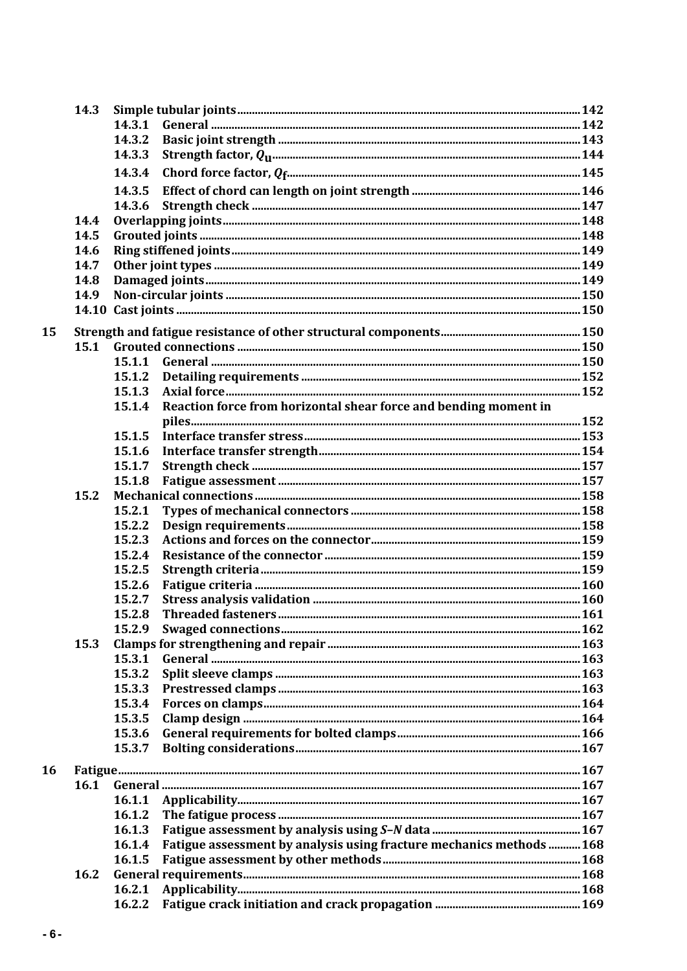|    | 14.3 |        |                                                                      |  |
|----|------|--------|----------------------------------------------------------------------|--|
|    |      | 14.3.1 |                                                                      |  |
|    |      | 14.3.2 |                                                                      |  |
|    |      | 14.3.3 |                                                                      |  |
|    |      | 14.3.4 |                                                                      |  |
|    |      | 14.3.5 |                                                                      |  |
|    |      | 14.3.6 |                                                                      |  |
|    | 14.4 |        |                                                                      |  |
|    | 14.5 |        |                                                                      |  |
|    | 14.6 |        |                                                                      |  |
|    | 14.7 |        |                                                                      |  |
|    | 14.8 |        |                                                                      |  |
|    | 14.9 |        |                                                                      |  |
|    |      |        |                                                                      |  |
| 15 |      |        |                                                                      |  |
|    | 15.1 |        |                                                                      |  |
|    |      | 15.1.1 |                                                                      |  |
|    |      | 15.1.2 |                                                                      |  |
|    |      | 15.1.3 |                                                                      |  |
|    |      | 15.1.4 | Reaction force from horizontal shear force and bending moment in     |  |
|    |      |        |                                                                      |  |
|    |      | 15.1.5 |                                                                      |  |
|    |      | 15.1.6 |                                                                      |  |
|    |      | 15.1.7 |                                                                      |  |
|    |      | 15.1.8 |                                                                      |  |
|    | 15.2 |        |                                                                      |  |
|    |      | 15.2.1 |                                                                      |  |
|    |      | 15.2.2 |                                                                      |  |
|    |      | 15.2.3 |                                                                      |  |
|    |      | 15.2.4 |                                                                      |  |
|    |      | 15.2.5 |                                                                      |  |
|    |      | 15.2.6 |                                                                      |  |
|    |      | 15.2.7 |                                                                      |  |
|    |      | 15.2.8 |                                                                      |  |
|    |      |        |                                                                      |  |
|    | 15.3 |        |                                                                      |  |
|    |      | 15.3.1 |                                                                      |  |
|    |      | 15.3.2 |                                                                      |  |
|    |      | 15.3.3 |                                                                      |  |
|    |      | 15.3.4 |                                                                      |  |
|    |      | 15.3.5 |                                                                      |  |
|    |      | 15.3.6 |                                                                      |  |
|    |      | 15.3.7 |                                                                      |  |
| 16 |      |        |                                                                      |  |
|    | 16.1 |        |                                                                      |  |
|    |      | 16.1.1 |                                                                      |  |
|    |      | 16.1.2 |                                                                      |  |
|    |      | 16.1.3 |                                                                      |  |
|    |      | 16.1.4 | Fatigue assessment by analysis using fracture mechanics methods  168 |  |
|    |      | 16.1.5 |                                                                      |  |
|    | 16.2 |        |                                                                      |  |
|    |      | 16.2.1 |                                                                      |  |
|    |      | 16.2.2 |                                                                      |  |
|    |      |        |                                                                      |  |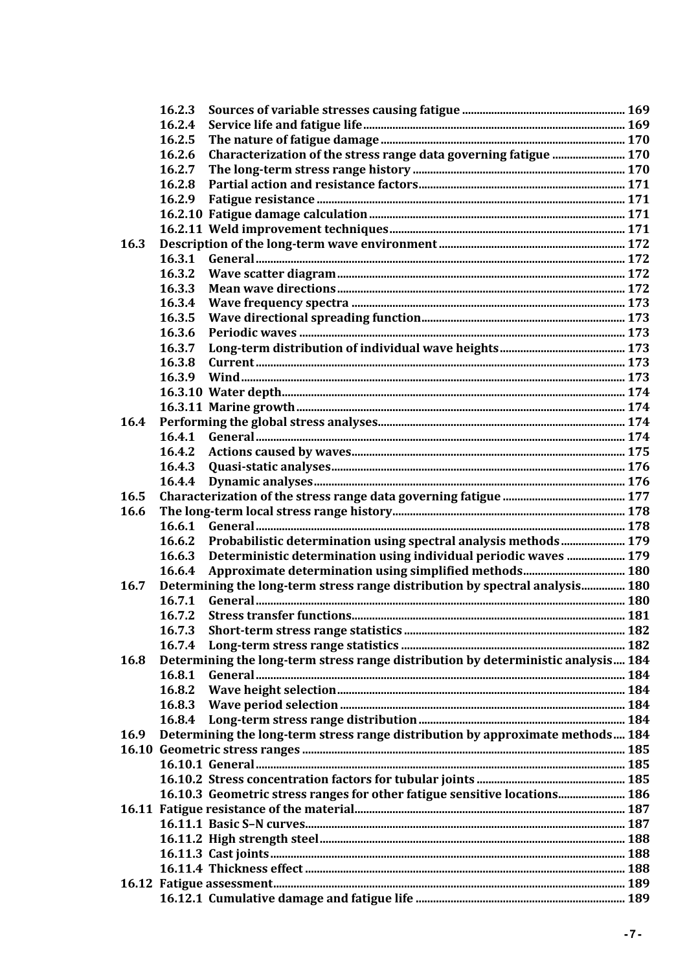|             | 16.2.3                                                                            |  |
|-------------|-----------------------------------------------------------------------------------|--|
|             | 16.2.4                                                                            |  |
|             | 16.2.5                                                                            |  |
|             | Characterization of the stress range data governing fatigue  170<br>16.2.6        |  |
|             | 16.2.7                                                                            |  |
|             | 16.2.8                                                                            |  |
|             | 16.2.9                                                                            |  |
|             |                                                                                   |  |
|             |                                                                                   |  |
| 16.3        |                                                                                   |  |
|             | 16.3.1                                                                            |  |
|             | 16.3.2                                                                            |  |
|             | 16.3.3                                                                            |  |
|             | 16.3.4                                                                            |  |
|             | 16.3.5                                                                            |  |
|             | 16.3.6                                                                            |  |
|             | 16.3.7                                                                            |  |
|             | 16.3.8                                                                            |  |
|             | 16.3.9                                                                            |  |
|             |                                                                                   |  |
|             |                                                                                   |  |
| 16.4        |                                                                                   |  |
|             |                                                                                   |  |
|             | 16.4.1                                                                            |  |
|             | 16.4.2                                                                            |  |
|             | 16.4.3                                                                            |  |
|             | 16.4.4                                                                            |  |
| 16.5        |                                                                                   |  |
| 16.6        |                                                                                   |  |
|             | 16.6.1                                                                            |  |
|             | Probabilistic determination using spectral analysis methods 179<br>16.6.2         |  |
|             | Deterministic determination using individual periodic waves  179<br>16.6.3        |  |
|             | 16.6.4                                                                            |  |
| 16.7        | Determining the long-term stress range distribution by spectral analysis 180      |  |
|             | 16.7.1                                                                            |  |
|             | 16.7.2                                                                            |  |
|             | 16.7.3                                                                            |  |
|             | 16.7.4                                                                            |  |
| 16.8        | Determining the long-term stress range distribution by deterministic analysis 184 |  |
|             | 16.8.1                                                                            |  |
|             | 16.8.2                                                                            |  |
|             | 16.8.3                                                                            |  |
|             |                                                                                   |  |
| <b>16.9</b> | Determining the long-term stress range distribution by approximate methods 184    |  |
|             |                                                                                   |  |
|             |                                                                                   |  |
|             |                                                                                   |  |
|             | 16.10.3 Geometric stress ranges for other fatigue sensitive locations 186         |  |
|             |                                                                                   |  |
|             |                                                                                   |  |
|             |                                                                                   |  |
|             |                                                                                   |  |
|             |                                                                                   |  |
|             |                                                                                   |  |
|             |                                                                                   |  |
|             |                                                                                   |  |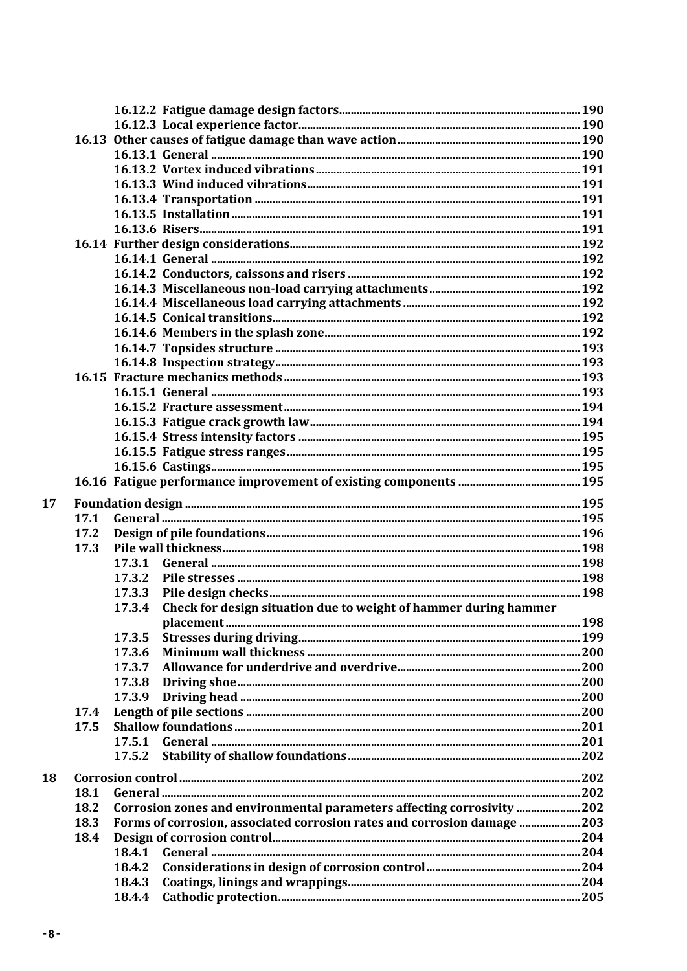| 17 |      |                                                                            |  |
|----|------|----------------------------------------------------------------------------|--|
|    | 17.1 |                                                                            |  |
|    | 17.2 |                                                                            |  |
|    | 17.3 |                                                                            |  |
|    |      | 17.3.1                                                                     |  |
|    |      | 17.3.2                                                                     |  |
|    |      | 17.3.3                                                                     |  |
|    |      | Check for design situation due to weight of hammer during hammer<br>17.3.4 |  |
|    |      |                                                                            |  |
|    |      | 17.3.5                                                                     |  |
|    |      | 17.3.6                                                                     |  |
|    |      | 17.3.7                                                                     |  |
|    |      | 17.3.8                                                                     |  |
|    |      | 17.3.9                                                                     |  |
|    | 17.4 |                                                                            |  |
|    | 17.5 |                                                                            |  |
|    |      | 17.5.1                                                                     |  |
|    |      | 17.5.2                                                                     |  |
|    |      |                                                                            |  |
| 18 |      |                                                                            |  |
|    | 18.1 |                                                                            |  |
|    | 18.2 | Corrosion zones and environmental parameters affecting corrosivity  202    |  |
|    | 18.3 | Forms of corrosion, associated corrosion rates and corrosion damage 203    |  |
|    | 18.4 |                                                                            |  |
|    |      | 18.4.1                                                                     |  |
|    |      | 18.4.2                                                                     |  |
|    |      | 18.4.3                                                                     |  |
|    |      | 18.4.4                                                                     |  |
|    |      |                                                                            |  |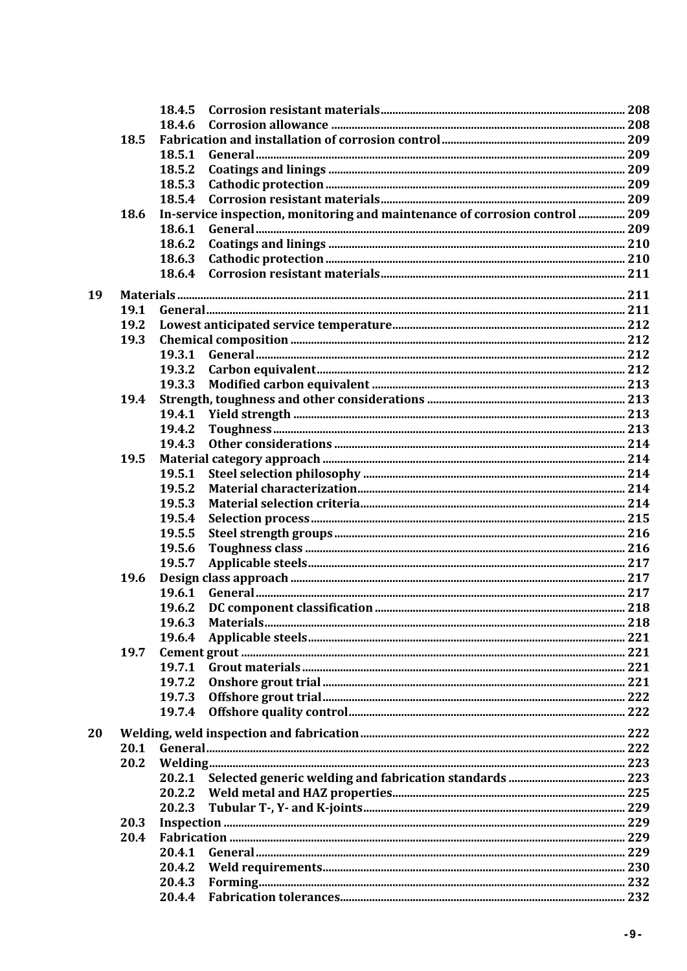|    |      | 18.4.6 |                                                                             |  |
|----|------|--------|-----------------------------------------------------------------------------|--|
|    | 18.5 |        |                                                                             |  |
|    |      | 18.5.1 |                                                                             |  |
|    |      | 18.5.2 |                                                                             |  |
|    |      | 18.5.3 |                                                                             |  |
|    |      | 18.5.4 |                                                                             |  |
|    | 18.6 |        | In-service inspection, monitoring and maintenance of corrosion control  209 |  |
|    |      | 18.6.1 |                                                                             |  |
|    |      | 18.6.2 |                                                                             |  |
|    |      | 18.6.3 |                                                                             |  |
|    |      | 18.6.4 |                                                                             |  |
|    |      |        |                                                                             |  |
| 19 |      |        |                                                                             |  |
|    | 19.1 |        |                                                                             |  |
|    | 19.2 |        |                                                                             |  |
|    | 19.3 |        |                                                                             |  |
|    |      | 19.3.1 |                                                                             |  |
|    |      | 19.3.2 |                                                                             |  |
|    |      | 19.3.3 |                                                                             |  |
|    | 19.4 |        |                                                                             |  |
|    |      | 19.4.1 |                                                                             |  |
|    |      | 19.4.2 |                                                                             |  |
|    |      | 19.4.3 |                                                                             |  |
|    | 19.5 |        |                                                                             |  |
|    |      | 19.5.1 |                                                                             |  |
|    |      | 19.5.2 |                                                                             |  |
|    |      | 19.5.3 |                                                                             |  |
|    |      | 19.5.4 |                                                                             |  |
|    |      | 19.5.5 |                                                                             |  |
|    |      | 19.5.6 |                                                                             |  |
|    |      | 19.5.7 |                                                                             |  |
|    | 19.6 |        |                                                                             |  |
|    |      | 19.6.1 |                                                                             |  |
|    |      | 19.6.2 |                                                                             |  |
|    |      |        |                                                                             |  |
|    |      | 19.6.4 |                                                                             |  |
|    | 19.7 |        |                                                                             |  |
|    |      | 19.7.1 |                                                                             |  |
|    |      | 19.7.2 |                                                                             |  |
|    |      | 19.7.3 |                                                                             |  |
|    |      | 19.7.4 |                                                                             |  |
|    |      |        |                                                                             |  |
| 20 |      |        |                                                                             |  |
|    | 20.1 |        |                                                                             |  |
|    | 20.2 |        |                                                                             |  |
|    |      |        |                                                                             |  |
|    |      |        |                                                                             |  |
|    |      | 20.2.3 |                                                                             |  |
|    | 20.3 |        |                                                                             |  |
|    | 20.4 |        |                                                                             |  |
|    |      | 20.4.1 |                                                                             |  |
|    |      | 20.4.2 |                                                                             |  |
|    |      | 20.4.3 |                                                                             |  |
|    |      |        |                                                                             |  |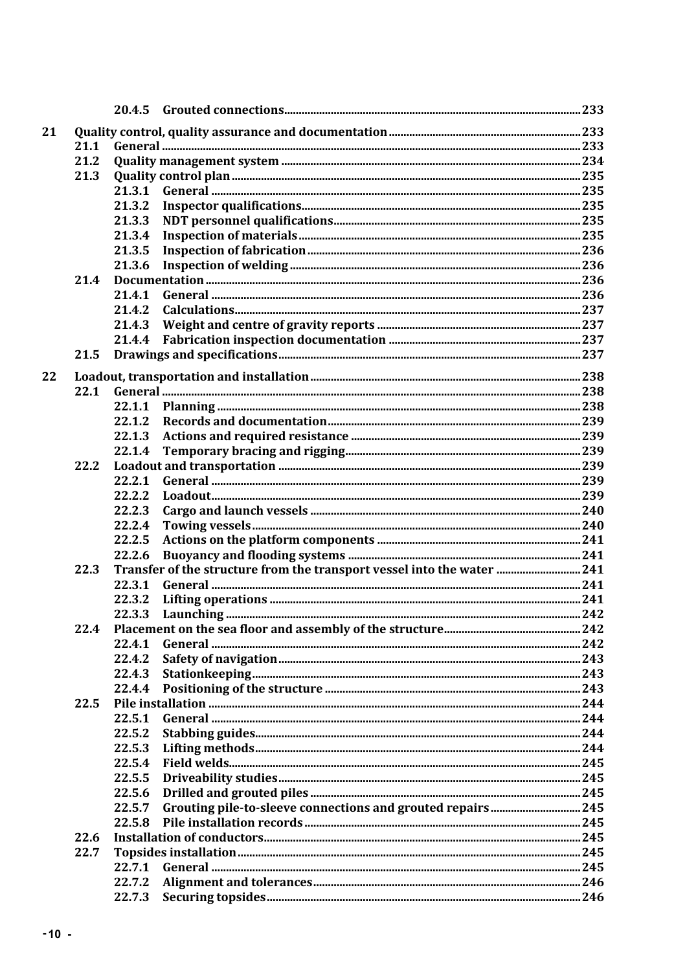| 21 |      |        |                                                                         |  |
|----|------|--------|-------------------------------------------------------------------------|--|
|    | 21.1 |        |                                                                         |  |
|    | 21.2 |        |                                                                         |  |
|    | 21.3 |        |                                                                         |  |
|    |      | 21.3.1 |                                                                         |  |
|    |      | 21.3.2 |                                                                         |  |
|    |      | 21.3.3 |                                                                         |  |
|    |      | 21.3.4 |                                                                         |  |
|    |      | 21.3.5 |                                                                         |  |
|    |      | 21.3.6 |                                                                         |  |
|    | 21.4 |        |                                                                         |  |
|    |      | 21.4.1 |                                                                         |  |
|    |      | 21.4.2 |                                                                         |  |
|    |      | 21.4.3 |                                                                         |  |
|    |      | 21.4.4 |                                                                         |  |
|    | 21.5 |        |                                                                         |  |
| 22 |      |        |                                                                         |  |
|    | 22.1 |        |                                                                         |  |
|    |      |        |                                                                         |  |
|    |      | 22.1.2 |                                                                         |  |
|    |      | 22.1.3 |                                                                         |  |
|    |      | 22.1.4 |                                                                         |  |
|    | 22.2 |        |                                                                         |  |
|    |      | 22.2.1 |                                                                         |  |
|    |      | 22.2.2 |                                                                         |  |
|    |      | 22.2.3 |                                                                         |  |
|    |      | 22.2.4 |                                                                         |  |
|    |      | 22.2.5 |                                                                         |  |
|    |      | 22.2.6 |                                                                         |  |
|    | 22.3 |        | Transfer of the structure from the transport vessel into the water  241 |  |
|    |      | 22.3.1 |                                                                         |  |
|    |      | 22.3.2 |                                                                         |  |
|    |      | 22.3.3 |                                                                         |  |
|    | 22.4 |        |                                                                         |  |
|    |      | 22.4.1 |                                                                         |  |
|    |      | 22.4.2 |                                                                         |  |
|    |      | 22.4.3 |                                                                         |  |
|    |      | 22.4.4 |                                                                         |  |
|    | 22.5 |        |                                                                         |  |
|    |      | 22.5.1 |                                                                         |  |
|    |      | 22.5.2 |                                                                         |  |
|    |      | 22.5.3 |                                                                         |  |
|    |      | 22.5.4 |                                                                         |  |
|    |      | 22.5.5 |                                                                         |  |
|    |      | 22.5.6 |                                                                         |  |
|    |      | 22.5.7 |                                                                         |  |
|    |      | 22.5.8 |                                                                         |  |
|    | 22.6 |        |                                                                         |  |
|    | 22.7 |        |                                                                         |  |
|    |      | 22.7.1 |                                                                         |  |
|    |      | 22.7.2 |                                                                         |  |
|    |      | 22.7.3 |                                                                         |  |